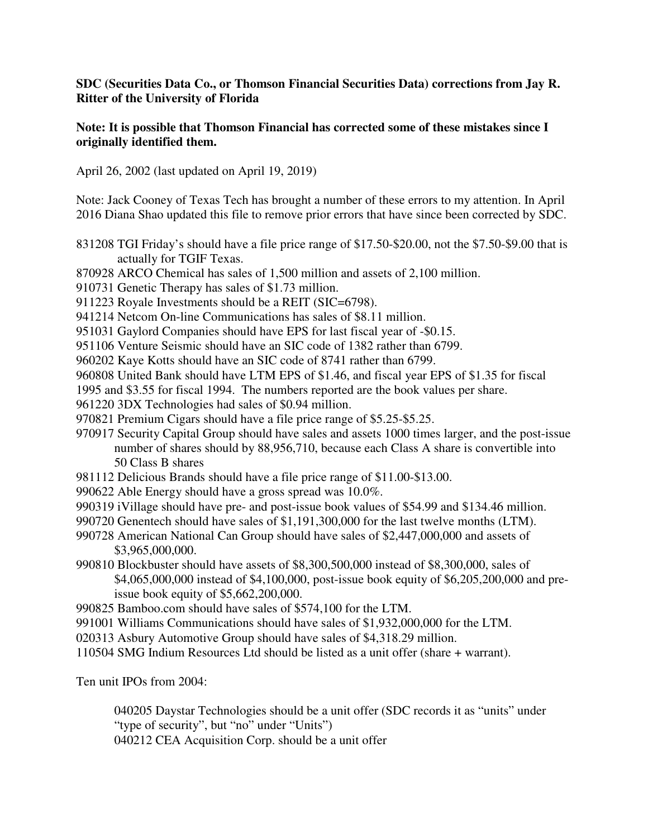## **SDC (Securities Data Co., or Thomson Financial Securities Data) corrections from Jay R. Ritter of the University of Florida**

### **Note: It is possible that Thomson Financial has corrected some of these mistakes since I originally identified them.**

April 26, 2002 (last updated on April 19, 2019)

Note: Jack Cooney of Texas Tech has brought a number of these errors to my attention. In April 2016 Diana Shao updated this file to remove prior errors that have since been corrected by SDC.

- 831208 TGI Friday's should have a file price range of \$17.50-\$20.00, not the \$7.50-\$9.00 that is actually for TGIF Texas.
- 870928 ARCO Chemical has sales of 1,500 million and assets of 2,100 million.
- 910731 Genetic Therapy has sales of \$1.73 million.
- 911223 Royale Investments should be a REIT (SIC=6798).
- 941214 Netcom On-line Communications has sales of \$8.11 million.
- 951031 Gaylord Companies should have EPS for last fiscal year of -\$0.15.

951106 Venture Seismic should have an SIC code of 1382 rather than 6799.

960202 Kaye Kotts should have an SIC code of 8741 rather than 6799.

960808 United Bank should have LTM EPS of \$1.46, and fiscal year EPS of \$1.35 for fiscal

1995 and \$3.55 for fiscal 1994. The numbers reported are the book values per share.

961220 3DX Technologies had sales of \$0.94 million.

970821 Premium Cigars should have a file price range of \$5.25-\$5.25.

- 970917 Security Capital Group should have sales and assets 1000 times larger, and the post-issue number of shares should by 88,956,710, because each Class A share is convertible into 50 Class B shares
- 981112 Delicious Brands should have a file price range of \$11.00-\$13.00.
- 990622 Able Energy should have a gross spread was 10.0%.
- 990319 iVillage should have pre- and post-issue book values of \$54.99 and \$134.46 million.
- 990720 Genentech should have sales of \$1,191,300,000 for the last twelve months (LTM).
- 990728 American National Can Group should have sales of \$2,447,000,000 and assets of \$3,965,000,000.
- 990810 Blockbuster should have assets of \$8,300,500,000 instead of \$8,300,000, sales of \$4,065,000,000 instead of \$4,100,000, post-issue book equity of \$6,205,200,000 and pre issue book equity of \$5,662,200,000.
- 990825 Bamboo.com should have sales of \$574,100 for the LTM.
- 991001 Williams Communications should have sales of \$1,932,000,000 for the LTM.
- 020313 Asbury Automotive Group should have sales of \$4,318.29 million.
- 110504 SMG Indium Resources Ltd should be listed as a unit offer (share + warrant).

Ten unit IPOs from 2004:

 040205 Daystar Technologies should be a unit offer (SDC records it as "units" under "type of security", but "no" under "Units")

040212 CEA Acquisition Corp. should be a unit offer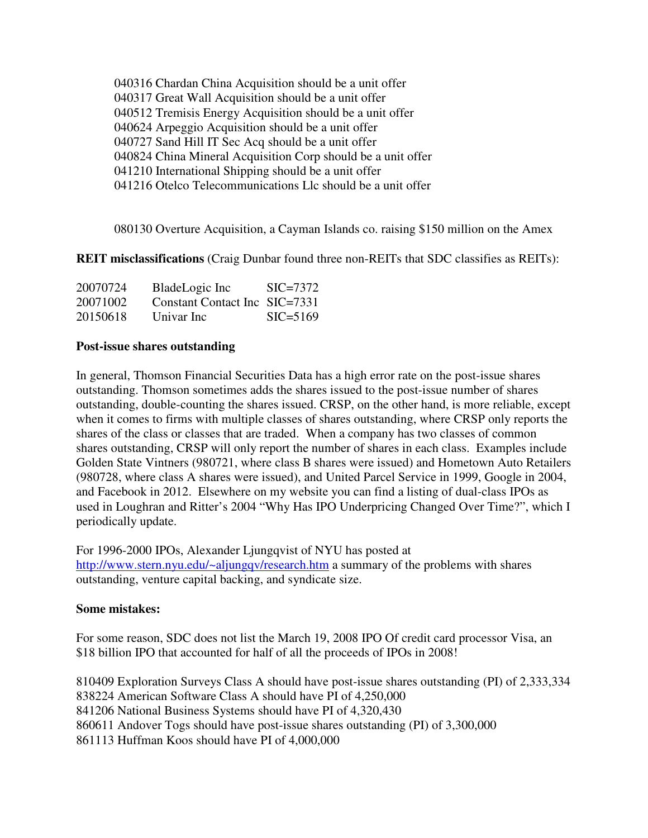040316 Chardan China Acquisition should be a unit offer 040317 Great Wall Acquisition should be a unit offer 040512 Tremisis Energy Acquisition should be a unit offer 040624 Arpeggio Acquisition should be a unit offer 040727 Sand Hill IT Sec Acq should be a unit offer 040824 China Mineral Acquisition Corp should be a unit offer 041210 International Shipping should be a unit offer 041216 Otelco Telecommunications Llc should be a unit offer

080130 Overture Acquisition, a Cayman Islands co. raising \$150 million on the Amex

**REIT misclassifications** (Craig Dunbar found three non-REITs that SDC classifies as REITs):

| 20070724 | BladeLogic Inc                | $\text{SIC} = 7372$ |
|----------|-------------------------------|---------------------|
| 20071002 | Constant Contact Inc SIC=7331 |                     |
| 20150618 | Univar Inc                    | $SIC = 5169$        |

### **Post-issue shares outstanding**

In general, Thomson Financial Securities Data has a high error rate on the post-issue shares outstanding. Thomson sometimes adds the shares issued to the post-issue number of shares outstanding, double-counting the shares issued. CRSP, on the other hand, is more reliable, except when it comes to firms with multiple classes of shares outstanding, where CRSP only reports the shares of the class or classes that are traded. When a company has two classes of common shares outstanding, CRSP will only report the number of shares in each class. Examples include Golden State Vintners (980721, where class B shares were issued) and Hometown Auto Retailers (980728, where class A shares were issued), and United Parcel Service in 1999, Google in 2004, and Facebook in 2012. Elsewhere on my website you can find a listing of dual-class IPOs as used in Loughran and Ritter's 2004 "Why Has IPO Underpricing Changed Over Time?", which I periodically update.

For 1996-2000 IPOs, Alexander Ljungqvist of NYU has posted at http://www.stern.nyu.edu/~aljungqv/research.htm a summary of the problems with shares outstanding, venture capital backing, and syndicate size.

### **Some mistakes:**

For some reason, SDC does not list the March 19, 2008 IPO Of credit card processor Visa, an \$18 billion IPO that accounted for half of all the proceeds of IPOs in 2008!

810409 Exploration Surveys Class A should have post-issue shares outstanding (PI) of 2,333,334 838224 American Software Class A should have PI of 4,250,000 841206 National Business Systems should have PI of 4,320,430 860611 Andover Togs should have post-issue shares outstanding (PI) of 3,300,000 861113 Huffman Koos should have PI of 4,000,000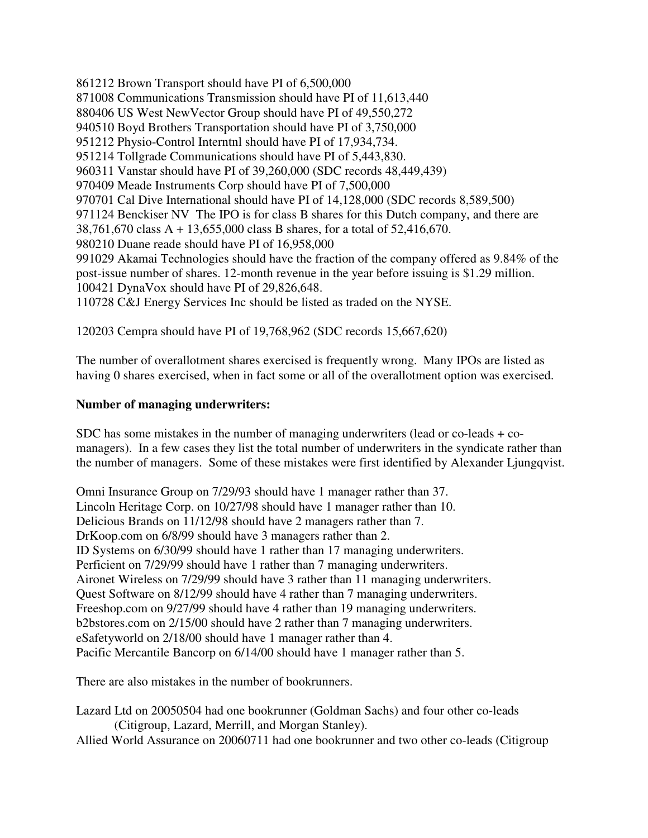861212 Brown Transport should have PI of 6,500,000 871008 Communications Transmission should have PI of 11,613,440 880406 US West NewVector Group should have PI of 49,550,272 940510 Boyd Brothers Transportation should have PI of 3,750,000 951212 Physio-Control Interntnl should have PI of 17,934,734. 951214 Tollgrade Communications should have PI of 5,443,830. 960311 Vanstar should have PI of 39,260,000 (SDC records 48,449,439) 970409 Meade Instruments Corp should have PI of 7,500,000 970701 Cal Dive International should have PI of 14,128,000 (SDC records 8,589,500) 971124 Benckiser NV The IPO is for class B shares for this Dutch company, and there are 38,761,670 class A + 13,655,000 class B shares, for a total of 52,416,670. 980210 Duane reade should have PI of 16,958,000 991029 Akamai Technologies should have the fraction of the company offered as 9.84% of the post-issue number of shares. 12-month revenue in the year before issuing is \$1.29 million. 100421 DynaVox should have PI of 29,826,648. 110728 C&J Energy Services Inc should be listed as traded on the NYSE.

120203 Cempra should have PI of 19,768,962 (SDC records 15,667,620)

The number of overallotment shares exercised is frequently wrong. Many IPOs are listed as having 0 shares exercised, when in fact some or all of the overallotment option was exercised.

### **Number of managing underwriters:**

SDC has some mistakes in the number of managing underwriters (lead or co-leads + comanagers). In a few cases they list the total number of underwriters in the syndicate rather than the number of managers. Some of these mistakes were first identified by Alexander Ljungqvist.

Omni Insurance Group on 7/29/93 should have 1 manager rather than 37. Lincoln Heritage Corp. on 10/27/98 should have 1 manager rather than 10. Delicious Brands on 11/12/98 should have 2 managers rather than 7. DrKoop.com on 6/8/99 should have 3 managers rather than 2. ID Systems on 6/30/99 should have 1 rather than 17 managing underwriters. Perficient on 7/29/99 should have 1 rather than 7 managing underwriters. Aironet Wireless on 7/29/99 should have 3 rather than 11 managing underwriters. Quest Software on 8/12/99 should have 4 rather than 7 managing underwriters. Freeshop.com on 9/27/99 should have 4 rather than 19 managing underwriters. b2bstores.com on 2/15/00 should have 2 rather than 7 managing underwriters. eSafetyworld on 2/18/00 should have 1 manager rather than 4. Pacific Mercantile Bancorp on 6/14/00 should have 1 manager rather than 5.

There are also mistakes in the number of bookrunners.

Lazard Ltd on 20050504 had one bookrunner (Goldman Sachs) and four other co-leads (Citigroup, Lazard, Merrill, and Morgan Stanley).

Allied World Assurance on 20060711 had one bookrunner and two other co-leads (Citigroup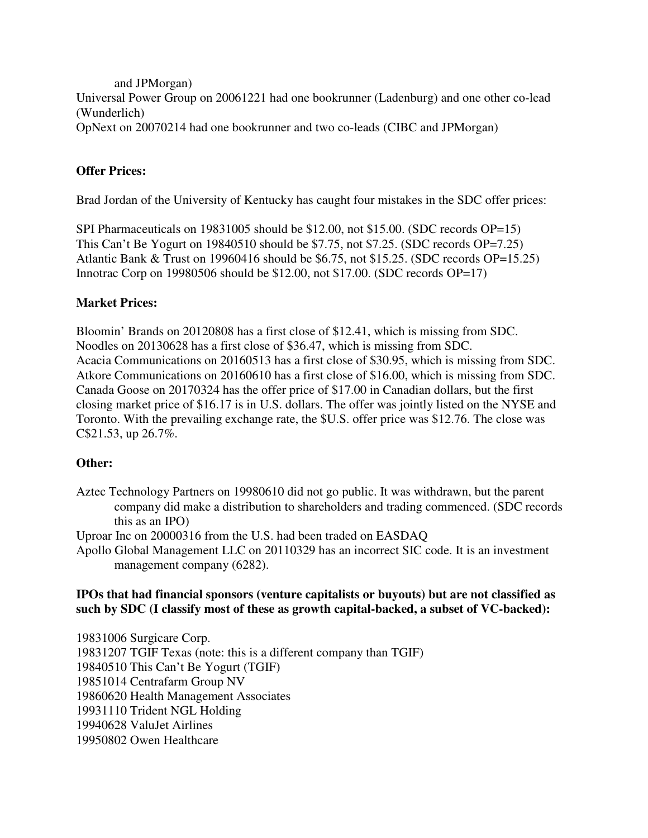and JPMorgan) Universal Power Group on 20061221 had one bookrunner (Ladenburg) and one other co-lead (Wunderlich) OpNext on 20070214 had one bookrunner and two co-leads (CIBC and JPMorgan)

# **Offer Prices:**

Brad Jordan of the University of Kentucky has caught four mistakes in the SDC offer prices:

SPI Pharmaceuticals on 19831005 should be \$12.00, not \$15.00. (SDC records OP=15) This Can't Be Yogurt on 19840510 should be \$7.75, not \$7.25. (SDC records OP=7.25) Atlantic Bank & Trust on 19960416 should be \$6.75, not \$15.25. (SDC records OP=15.25) Innotrac Corp on 19980506 should be \$12.00, not \$17.00. (SDC records OP=17)

## **Market Prices:**

Bloomin' Brands on 20120808 has a first close of \$12.41, which is missing from SDC. Noodles on 20130628 has a first close of \$36.47, which is missing from SDC. Acacia Communications on 20160513 has a first close of \$30.95, which is missing from SDC. Atkore Communications on 20160610 has a first close of \$16.00, which is missing from SDC. Canada Goose on 20170324 has the offer price of \$17.00 in Canadian dollars, but the first closing market price of \$16.17 is in U.S. dollars. The offer was jointly listed on the NYSE and Toronto. With the prevailing exchange rate, the \$U.S. offer price was \$12.76. The close was C\$21.53, up 26.7%.

## **Other:**

Aztec Technology Partners on 19980610 did not go public. It was withdrawn, but the parent company did make a distribution to shareholders and trading commenced. (SDC records this as an IPO)

Uproar Inc on 20000316 from the U.S. had been traded on EASDAQ

Apollo Global Management LLC on 20110329 has an incorrect SIC code. It is an investment management company (6282).

## **IPOs that had financial sponsors (venture capitalists or buyouts) but are not classified as such by SDC (I classify most of these as growth capital-backed, a subset of VC-backed):**

19831006 Surgicare Corp. 19831207 TGIF Texas (note: this is a different company than TGIF) 19840510 This Can't Be Yogurt (TGIF) 19851014 Centrafarm Group NV 19860620 Health Management Associates 19931110 Trident NGL Holding 19940628 ValuJet Airlines 19950802 Owen Healthcare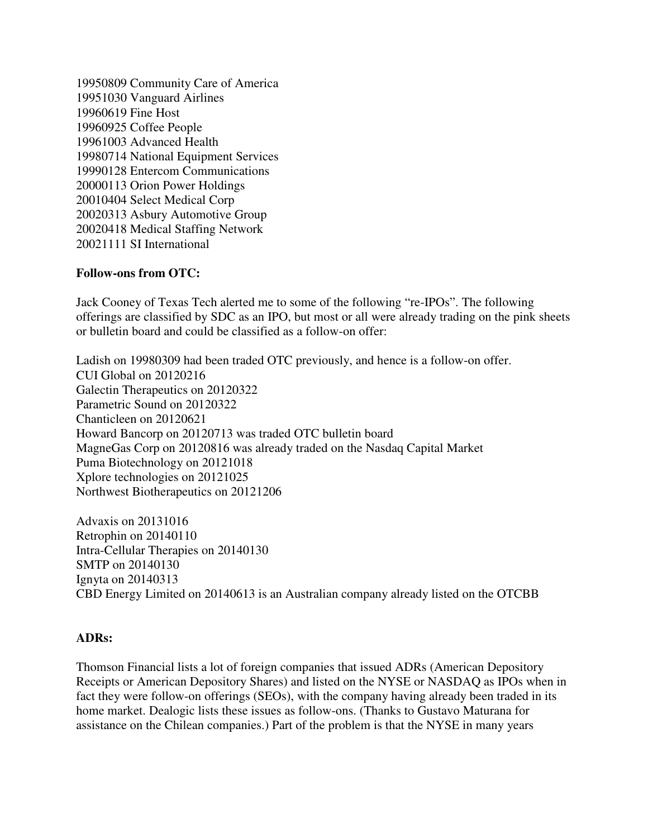19950809 Community Care of America 19951030 Vanguard Airlines 19960619 Fine Host 19960925 Coffee People 19961003 Advanced Health 19980714 National Equipment Services 19990128 Entercom Communications 20000113 Orion Power Holdings 20010404 Select Medical Corp 20020313 Asbury Automotive Group 20020418 Medical Staffing Network 20021111 SI International

## **Follow-ons from OTC:**

Jack Cooney of Texas Tech alerted me to some of the following "re-IPOs". The following offerings are classified by SDC as an IPO, but most or all were already trading on the pink sheets or bulletin board and could be classified as a follow-on offer:

Ladish on 19980309 had been traded OTC previously, and hence is a follow-on offer. CUI Global on 20120216 Galectin Therapeutics on 20120322 Parametric Sound on 20120322 Chanticleen on 20120621 Howard Bancorp on 20120713 was traded OTC bulletin board MagneGas Corp on 20120816 was already traded on the Nasdaq Capital Market Puma Biotechnology on 20121018 Xplore technologies on 20121025 Northwest Biotherapeutics on 20121206

Advaxis on 20131016 Retrophin on 20140110 Intra-Cellular Therapies on 20140130 SMTP on 20140130 Ignyta on 20140313 CBD Energy Limited on 20140613 is an Australian company already listed on the OTCBB

### **ADRs:**

Thomson Financial lists a lot of foreign companies that issued ADRs (American Depository Receipts or American Depository Shares) and listed on the NYSE or NASDAQ as IPOs when in fact they were follow-on offerings (SEOs), with the company having already been traded in its home market. Dealogic lists these issues as follow-ons. (Thanks to Gustavo Maturana for assistance on the Chilean companies.) Part of the problem is that the NYSE in many years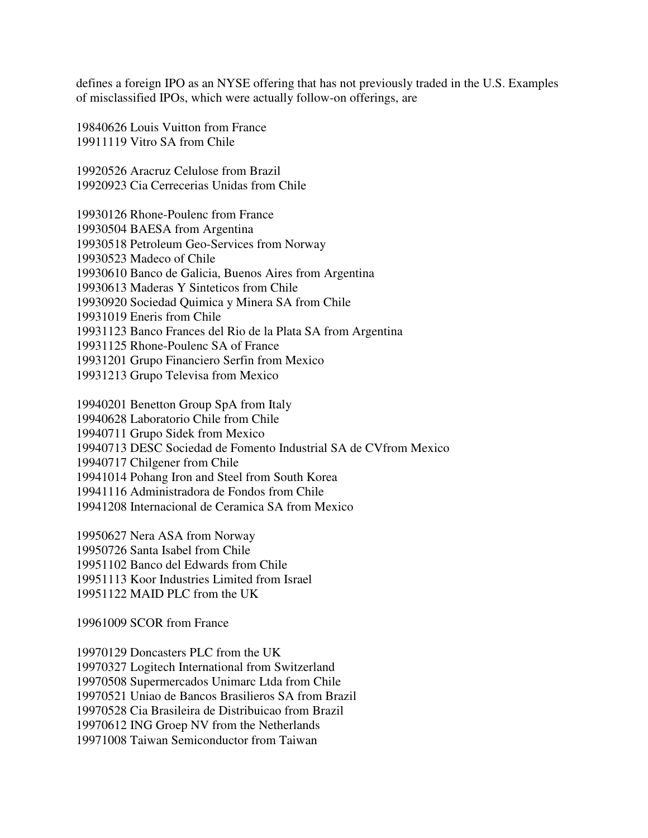defines a foreign IPO as an NYSE offering that has not previously traded in the U.S. Examples of misclassified IPOs, which were actually follow-on offerings, are

19840626 Louis Vuitton from France 19911119 Vitro SA from Chile

19920526 Aracruz Celulose from Brazil 19920923 Cia Cerrecerias Unidas from Chile

19930126 Rhone-Poulenc from France 19930504 BAESA from Argentina 19930518 Petroleum Geo-Services from Norway 19930523 Madeco of Chile 19930610 Banco de Galicia, Buenos Aires from Argentina 19930613 Maderas Y Sinteticos from Chile 19930920 Sociedad Quimica y Minera SA from Chile 19931019 Eneris from Chile 19931123 Banco Frances del Rio de la Plata SA from Argentina 19931125 Rhone-Poulenc SA of France 19931201 Grupo Financiero Serfin from Mexico 19931213 Grupo Televisa from Mexico

19940201 Benetton Group SpA from Italy 19940628 Laboratorio Chile from Chile 19940711 Grupo Sidek from Mexico 19940713 DESC Sociedad de Fomento Industrial SA de CVfrom Mexico 19940717 Chilgener from Chile 19941014 Pohang Iron and Steel from South Korea 19941116 Administradora de Fondos from Chile 19941208 Internacional de Ceramica SA from Mexico

19950627 Nera ASA from Norway 19950726 Santa Isabel from Chile 19951102 Banco del Edwards from Chile 19951113 Koor Industries Limited from Israel 19951122 MAID PLC from the UK

19961009 SCOR from France

19970129 Doncasters PLC from the UK 19970327 Logitech International from Switzerland 19970508 Supermercados Unimarc Ltda from Chile 19970521 Uniao de Bancos Brasilieros SA from Brazil 19970528 Cia Brasileira de Distribuicao from Brazil 19970612 ING Groep NV from the Netherlands 19971008 Taiwan Semiconductor from Taiwan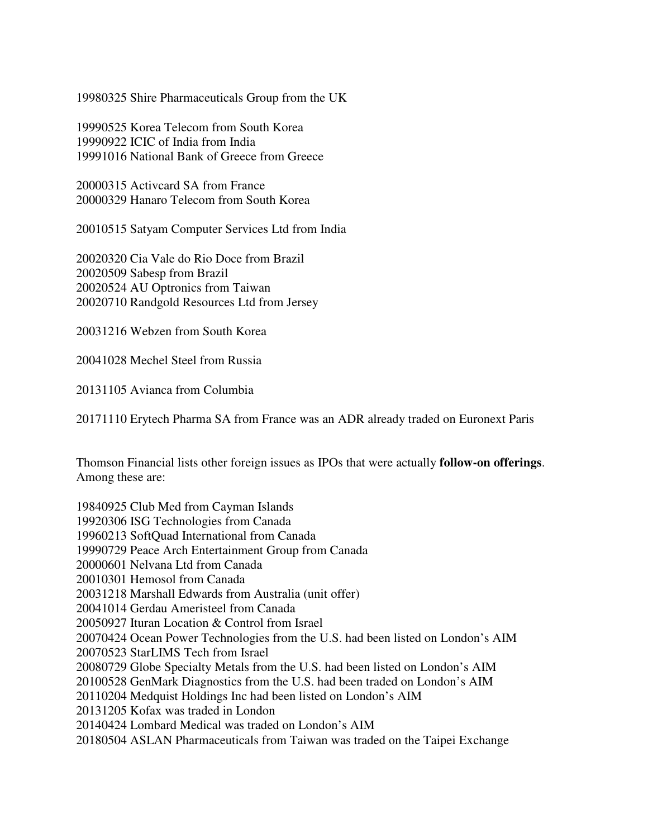19980325 Shire Pharmaceuticals Group from the UK

19990525 Korea Telecom from South Korea 19990922 ICIC of India from India 19991016 National Bank of Greece from Greece

20000315 Activcard SA from France 20000329 Hanaro Telecom from South Korea

20010515 Satyam Computer Services Ltd from India

20020320 Cia Vale do Rio Doce from Brazil 20020509 Sabesp from Brazil 20020524 AU Optronics from Taiwan 20020710 Randgold Resources Ltd from Jersey

20031216 Webzen from South Korea

20041028 Mechel Steel from Russia

20131105 Avianca from Columbia

20171110 Erytech Pharma SA from France was an ADR already traded on Euronext Paris

Thomson Financial lists other foreign issues as IPOs that were actually **follow-on offerings**. Among these are:

19840925 Club Med from Cayman Islands 19920306 ISG Technologies from Canada 19960213 SoftQuad International from Canada 19990729 Peace Arch Entertainment Group from Canada 20000601 Nelvana Ltd from Canada 20010301 Hemosol from Canada 20031218 Marshall Edwards from Australia (unit offer) 20041014 Gerdau Ameristeel from Canada 20050927 Ituran Location & Control from Israel 20070424 Ocean Power Technologies from the U.S. had been listed on London's AIM 20070523 StarLIMS Tech from Israel 20080729 Globe Specialty Metals from the U.S. had been listed on London's AIM 20100528 GenMark Diagnostics from the U.S. had been traded on London's AIM 20110204 Medquist Holdings Inc had been listed on London's AIM 20131205 Kofax was traded in London 20140424 Lombard Medical was traded on London's AIM 20180504 ASLAN Pharmaceuticals from Taiwan was traded on the Taipei Exchange